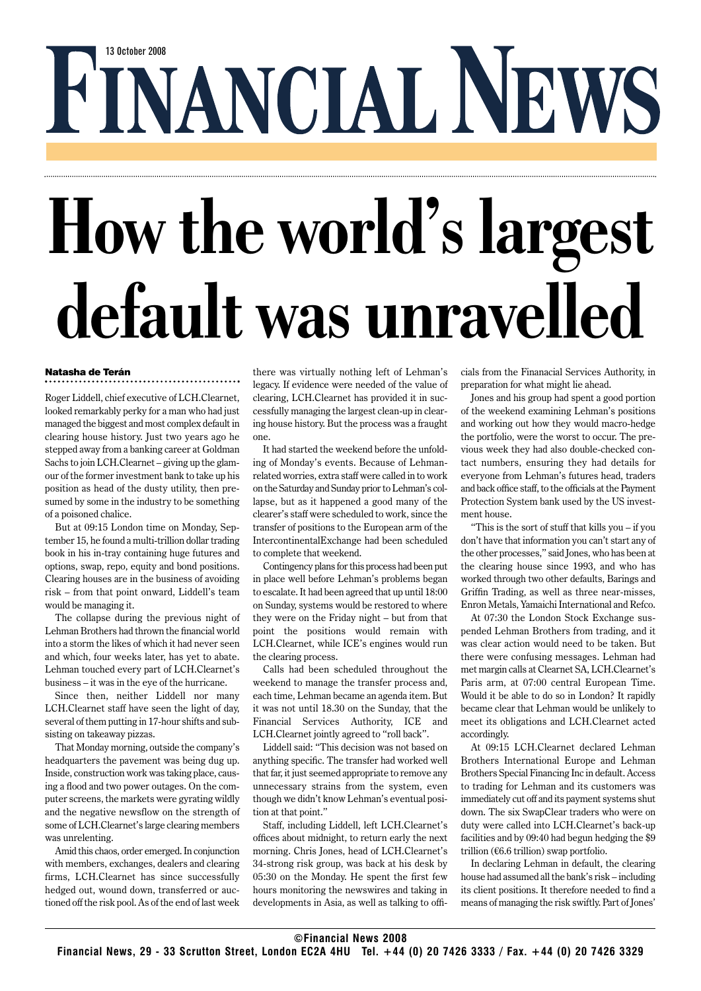## FINANCIAL NEWS

## **How the world's largest default was unravelled**

## Natasha de Terán

Roger Liddell, chief executive of LCH.Clearnet, looked remarkably perky for a man who had just managed the biggest and most complex default in clearing house history. Just two years ago he stepped away from a banking career at Goldman Sachs to join LCH.Clearnet – giving up the glamour of the former investment bank to take up his position as head of the dusty utility, then presumed by some in the industry to be something of a poisoned chalice.

But at 09:15 London time on Monday, September 15, he found a multi-trillion dollar trading book in his in-tray containing huge futures and options, swap, repo, equity and bond positions. Clearing houses are in the business of avoiding risk – from that point onward, Liddell's team would be managing it.

The collapse during the previous night of Lehman Brothers had thrown the financial world into a storm the likes of which it had never seen and which, four weeks later, has yet to abate. Lehman touched every part of LCH.Clearnet's business – it was in the eye of the hurricane.

Since then, neither Liddell nor many LCH.Clearnet staff have seen the light of day, several of them putting in 17-hour shifts and subsisting on takeaway pizzas.

That Monday morning, outside the company's headquarters the pavement was being dug up. Inside, construction work was taking place, causing a flood and two power outages. On the computer screens, the markets were gyrating wildly and the negative newsflow on the strength of some of LCH.Clearnet's large clearing members was unrelenting.

Amid this chaos, order emerged. In conjunction with members, exchanges, dealers and clearing firms, LCH.Clearnet has since successfully hedged out, wound down, transferred or auctioned off the risk pool. As of the end of last week there was virtually nothing left of Lehman's legacy. If evidence were needed of the value of clearing, LCH.Clearnet has provided it in successfully managing the largest clean-up in clearing house history. But the process was a fraught one.

It had started the weekend before the unfolding of Monday's events. Because of Lehmanrelated worries, extra staff were called in to work on the Saturday and Sunday prior to Lehman's collapse, but as it happened a good many of the clearer's staff were scheduled to work, since the transfer of positions to the European arm of the IntercontinentalExchange had been scheduled to complete that weekend.

Contingency plans for this process had been put in place well before Lehman's problems began to escalate. It had been agreed that up until 18:00 on Sunday, systems would be restored to where they were on the Friday night – but from that point the positions would remain with LCH.Clearnet, while ICE's engines would run the clearing process.

Calls had been scheduled throughout the weekend to manage the transfer process and, each time, Lehman became an agenda item. But it was not until 18.30 on the Sunday, that the Financial Services Authority, ICE and LCH.Clearnet jointly agreed to "roll back".

Liddell said: "This decision was not based on anything specific. The transfer had worked well that far, it just seemed appropriate to remove any unnecessary strains from the system, even though we didn't know Lehman's eventual position at that point."

Staff, including Liddell, left LCH.Clearnet's offices about midnight, to return early the next morning. Chris Jones, head of LCH.Clearnet's 34-strong risk group, was back at his desk by 05:30 on the Monday. He spent the first few hours monitoring the newswires and taking in developments in Asia, as well as talking to officials from the Finanacial Services Authority, in preparation for what might lie ahead.

Jones and his group had spent a good portion of the weekend examining Lehman's positions and working out how they would macro-hedge the portfolio, were the worst to occur. The previous week they had also double-checked contact numbers, ensuring they had details for everyone from Lehman's futures head, traders and back office staff, to the officials at the Payment Protection System bank used by the US investment house.

"This is the sort of stuff that kills you – if you don't have that information you can't start any of the other processes," said Jones, who has been at the clearing house since 1993, and who has worked through two other defaults, Barings and Griffin Trading, as well as three near-misses, Enron Metals, Yamaichi International and Refco.

At 07:30 the London Stock Exchange suspended Lehman Brothers from trading, and it was clear action would need to be taken. But there were confusing messages. Lehman had met margin calls at Clearnet SA, LCH.Clearnet's Paris arm, at 07:00 central European Time. Would it be able to do so in London? It rapidly became clear that Lehman would be unlikely to meet its obligations and LCH.Clearnet acted accordingly.

At 09:15 LCH.Clearnet declared Lehman Brothers International Europe and Lehman Brothers Special Financing Inc in default. Access to trading for Lehman and its customers was immediately cut off and its payment systems shut down. The six SwapClear traders who were on duty were called into LCH.Clearnet's back-up facilities and by 09:40 had begun hedging the \$9 trillion (€6.6 trillion) swap portfolio.

In declaring Lehman in default, the clearing house had assumed all the bank's risk – including its client positions. It therefore needed to find a means of managing the risk swiftly. Part of Jones'